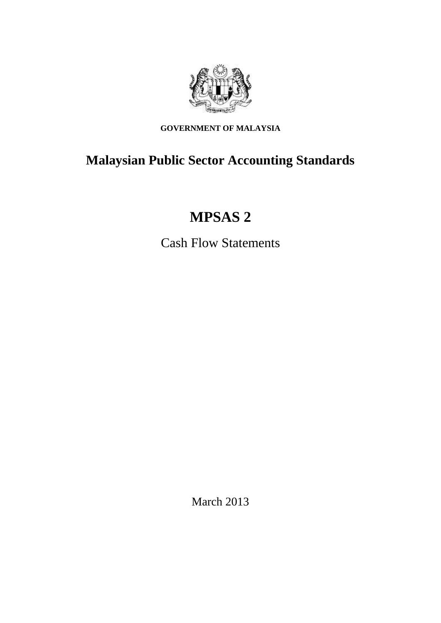

**GOVERNMENT OF MALAYSIA**

# **Malaysian Public Sector Accounting Standards**

# **MPSAS 2**

Cash Flow Statements

March 2013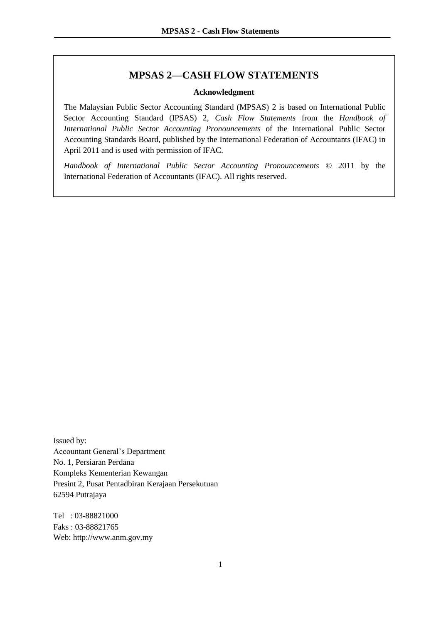## **MPSAS 2—CASH FLOW STATEMENTS**

#### **Acknowledgment**

The Malaysian Public Sector Accounting Standard (MPSAS) 2 is based on International Public Sector Accounting Standard (IPSAS) 2, *Cash Flow Statements* from the *Handbook of International Public Sector Accounting Pronouncements* of the International Public Sector Accounting Standards Board, published by the International Federation of Accountants (IFAC) in April 2011 and is used with permission of IFAC.

*Handbook of International Public Sector Accounting Pronouncements* © 2011 by the International Federation of Accountants (IFAC). All rights reserved.

Issued by: Accountant General's Department No. 1, Persiaran Perdana Kompleks Kementerian Kewangan Presint 2, Pusat Pentadbiran Kerajaan Persekutuan 62594 Putrajaya

Tel : 03-88821000 Faks : 03-88821765 Web: http://www.anm.gov.my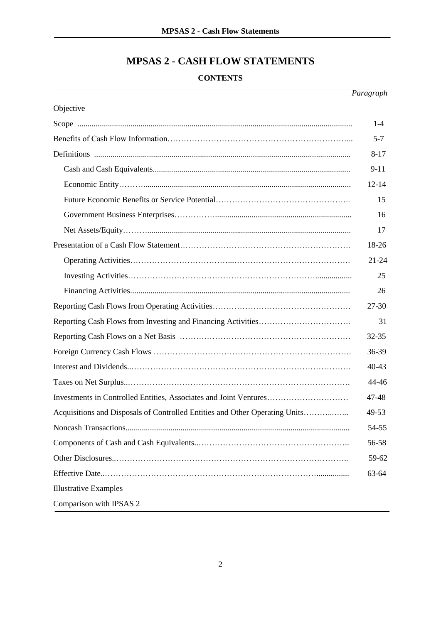# **MPSAS 2 - CASH FLOW STATEMENTS**

## **CONTENTS**

# *Paragraph*

| Objective                                                                   |           |
|-----------------------------------------------------------------------------|-----------|
|                                                                             | $1 - 4$   |
|                                                                             | $5 - 7$   |
|                                                                             | $8 - 17$  |
|                                                                             | $9 - 11$  |
|                                                                             | $12 - 14$ |
|                                                                             | 15        |
|                                                                             | 16        |
|                                                                             | 17        |
|                                                                             | 18-26     |
|                                                                             | $21 - 24$ |
|                                                                             | 25        |
|                                                                             | 26        |
|                                                                             | 27-30     |
|                                                                             | 31        |
|                                                                             | 32-35     |
|                                                                             | 36-39     |
|                                                                             | $40 - 43$ |
|                                                                             | 44-46     |
| Investments in Controlled Entities, Associates and Joint Ventures           | 47-48     |
| Acquisitions and Disposals of Controlled Entities and Other Operating Units | 49-53     |
|                                                                             | 54-55     |
|                                                                             | 56-58     |
|                                                                             | 59-62     |
|                                                                             | 63-64     |
| <b>Illustrative Examples</b>                                                |           |
| Comparison with IPSAS 2                                                     |           |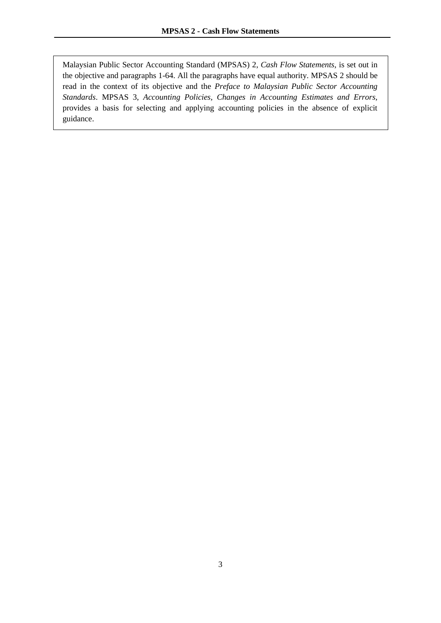Malaysian Public Sector Accounting Standard (MPSAS) 2, *Cash Flow Statements*, is set out in the objective and paragraphs 1-64. All the paragraphs have equal authority. MPSAS 2 should be read in the context of its objective and the *Preface to Malaysian Public Sector Accounting Standards*. MPSAS 3, *Accounting Policies, Changes in Accounting Estimates and Errors,* provides a basis for selecting and applying accounting policies in the absence of explicit guidance.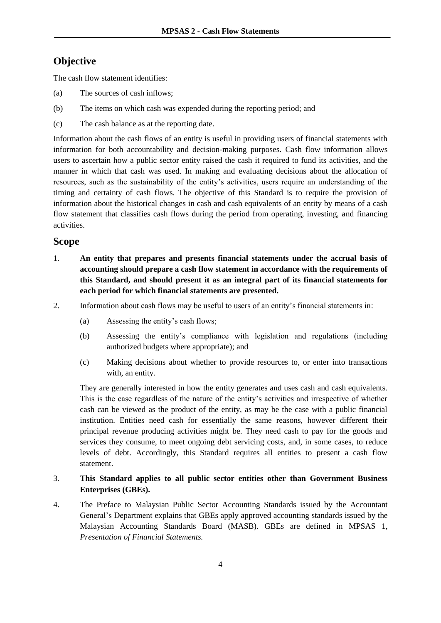# **Objective**

The cash flow statement identifies:

- (a) The sources of cash inflows;
- (b) The items on which cash was expended during the reporting period; and
- (c) The cash balance as at the reporting date.

Information about the cash flows of an entity is useful in providing users of financial statements with information for both accountability and decision-making purposes. Cash flow information allows users to ascertain how a public sector entity raised the cash it required to fund its activities, and the manner in which that cash was used. In making and evaluating decisions about the allocation of resources, such as the sustainability of the entity's activities, users require an understanding of the timing and certainty of cash flows. The objective of this Standard is to require the provision of information about the historical changes in cash and cash equivalents of an entity by means of a cash flow statement that classifies cash flows during the period from operating, investing, and financing activities.

# **Scope**

- 1. **An entity that prepares and presents financial statements under the accrual basis of accounting should prepare a cash flow statement in accordance with the requirements of this Standard, and should present it as an integral part of its financial statements for each period for which financial statements are presented.**
- 2. Information about cash flows may be useful to users of an entity's financial statements in:
	- (a) Assessing the entity's cash flows;
	- (b) Assessing the entity's compliance with legislation and regulations (including authorized budgets where appropriate); and
	- (c) Making decisions about whether to provide resources to, or enter into transactions with, an entity.

They are generally interested in how the entity generates and uses cash and cash equivalents. This is the case regardless of the nature of the entity's activities and irrespective of whether cash can be viewed as the product of the entity, as may be the case with a public financial institution. Entities need cash for essentially the same reasons, however different their principal revenue producing activities might be. They need cash to pay for the goods and services they consume, to meet ongoing debt servicing costs, and, in some cases, to reduce levels of debt. Accordingly, this Standard requires all entities to present a cash flow statement.

## 3. **This Standard applies to all public sector entities other than Government Business Enterprises (GBEs).**

4. The Preface to Malaysian Public Sector Accounting Standards issued by the Accountant General's Department explains that GBEs apply approved accounting standards issued by the Malaysian Accounting Standards Board (MASB). GBEs are defined in MPSAS 1, *Presentation of Financial Statements.*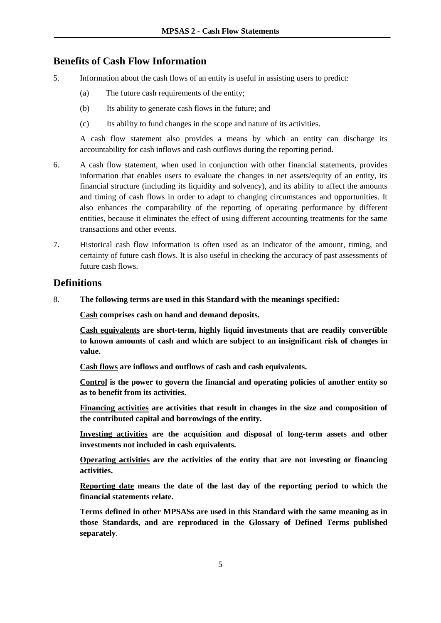# **Benefits of Cash Flow Information**

- 5. Information about the cash flows of an entity is useful in assisting users to predict:
	- (a) The future cash requirements of the entity;
	- (b) Its ability to generate cash flows in the future; and
	- (c) Its ability to fund changes in the scope and nature of its activities.

A cash flow statement also provides a means by which an entity can discharge its accountability for cash inflows and cash outflows during the reporting period.

- 6. A cash flow statement, when used in conjunction with other financial statements, provides information that enables users to evaluate the changes in net assets/equity of an entity, its financial structure (including its liquidity and solvency), and its ability to affect the amounts and timing of cash flows in order to adapt to changing circumstances and opportunities. It also enhances the comparability of the reporting of operating performance by different entities, because it eliminates the effect of using different accounting treatments for the same transactions and other events.
- 7. Historical cash flow information is often used as an indicator of the amount, timing, and certainty of future cash flows. It is also useful in checking the accuracy of past assessments of future cash flows.

## **Definitions**

8. **The following terms are used in this Standard with the meanings specified:**

**Cash comprises cash on hand and demand deposits.** 

**Cash equivalents are short-term, highly liquid investments that are readily convertible to known amounts of cash and which are subject to an insignificant risk of changes in value.** 

**Cash flows are inflows and outflows of cash and cash equivalents.** 

**Control is the power to govern the financial and operating policies of another entity so as to benefit from its activities.** 

**Financing activities are activities that result in changes in the size and composition of the contributed capital and borrowings of the entity.** 

**Investing activities are the acquisition and disposal of long-term assets and other investments not included in cash equivalents.** 

**Operating activities are the activities of the entity that are not investing or financing activities.** 

**Reporting date means the date of the last day of the reporting period to which the financial statements relate.** 

**Terms defined in other MPSASs are used in this Standard with the same meaning as in those Standards, and are reproduced in the Glossary of Defined Terms published separately**.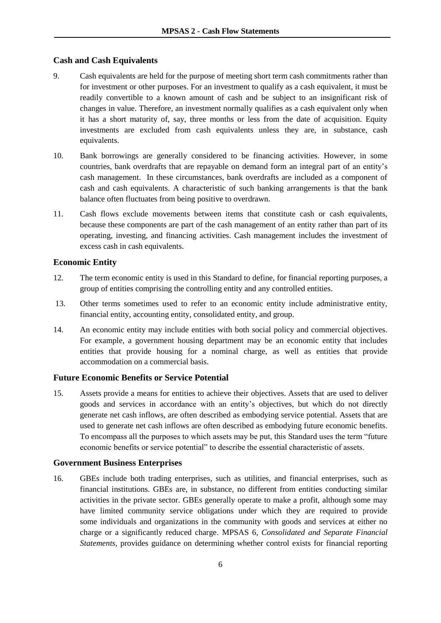## **Cash and Cash Equivalents**

- 9. Cash equivalents are held for the purpose of meeting short term cash commitments rather than for investment or other purposes. For an investment to qualify as a cash equivalent, it must be readily convertible to a known amount of cash and be subject to an insignificant risk of changes in value. Therefore, an investment normally qualifies as a cash equivalent only when it has a short maturity of, say, three months or less from the date of acquisition. Equity investments are excluded from cash equivalents unless they are, in substance, cash equivalents.
- 10. Bank borrowings are generally considered to be financing activities. However, in some countries, bank overdrafts that are repayable on demand form an integral part of an entity's cash management. In these circumstances, bank overdrafts are included as a component of cash and cash equivalents. A characteristic of such banking arrangements is that the bank balance often fluctuates from being positive to overdrawn.
- 11. Cash flows exclude movements between items that constitute cash or cash equivalents, because these components are part of the cash management of an entity rather than part of its operating, investing, and financing activities. Cash management includes the investment of excess cash in cash equivalents.

### **Economic Entity**

- 12. The term economic entity is used in this Standard to define, for financial reporting purposes, a group of entities comprising the controlling entity and any controlled entities.
- 13. Other terms sometimes used to refer to an economic entity include administrative entity, financial entity, accounting entity, consolidated entity, and group.
- 14. An economic entity may include entities with both social policy and commercial objectives. For example, a government housing department may be an economic entity that includes entities that provide housing for a nominal charge, as well as entities that provide accommodation on a commercial basis.

### **Future Economic Benefits or Service Potential**

15. Assets provide a means for entities to achieve their objectives. Assets that are used to deliver goods and services in accordance with an entity's objectives, but which do not directly generate net cash inflows, are often described as embodying service potential. Assets that are used to generate net cash inflows are often described as embodying future economic benefits. To encompass all the purposes to which assets may be put, this Standard uses the term "future economic benefits or service potential" to describe the essential characteristic of assets.

#### **Government Business Enterprises**

16. GBEs include both trading enterprises, such as utilities, and financial enterprises, such as financial institutions. GBEs are, in substance, no different from entities conducting similar activities in the private sector. GBEs generally operate to make a profit, although some may have limited community service obligations under which they are required to provide some individuals and organizations in the community with goods and services at either no charge or a significantly reduced charge. MPSAS 6, *Consolidated and Separate Financial Statements,* provides guidance on determining whether control exists for financial reporting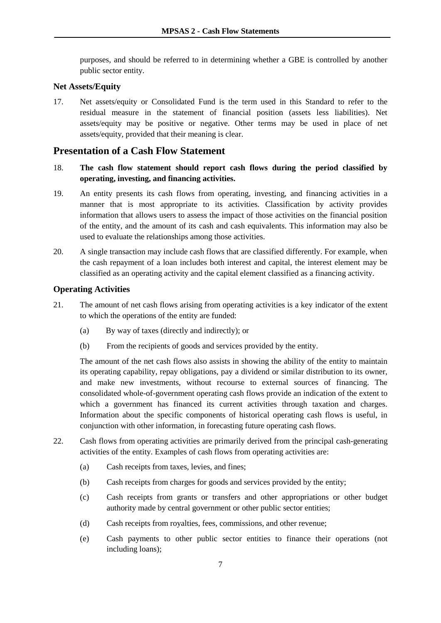purposes, and should be referred to in determining whether a GBE is controlled by another public sector entity.

#### **Net Assets/Equity**

17. Net assets/equity or Consolidated Fund is the term used in this Standard to refer to the residual measure in the statement of financial position (assets less liabilities). Net assets/equity may be positive or negative. Other terms may be used in place of net assets/equity, provided that their meaning is clear.

## **Presentation of a Cash Flow Statement**

- 18. **The cash flow statement should report cash flows during the period classified by operating, investing, and financing activities.**
- 19. An entity presents its cash flows from operating, investing, and financing activities in a manner that is most appropriate to its activities. Classification by activity provides information that allows users to assess the impact of those activities on the financial position of the entity, and the amount of its cash and cash equivalents. This information may also be used to evaluate the relationships among those activities.
- 20. A single transaction may include cash flows that are classified differently. For example, when the cash repayment of a loan includes both interest and capital, the interest element may be classified as an operating activity and the capital element classified as a financing activity.

## **Operating Activities**

- 21. The amount of net cash flows arising from operating activities is a key indicator of the extent to which the operations of the entity are funded:
	- (a) By way of taxes (directly and indirectly); or
	- (b) From the recipients of goods and services provided by the entity.

The amount of the net cash flows also assists in showing the ability of the entity to maintain its operating capability, repay obligations, pay a dividend or similar distribution to its owner, and make new investments, without recourse to external sources of financing. The consolidated whole-of-government operating cash flows provide an indication of the extent to which a government has financed its current activities through taxation and charges. Information about the specific components of historical operating cash flows is useful, in conjunction with other information, in forecasting future operating cash flows.

- 22. Cash flows from operating activities are primarily derived from the principal cash-generating activities of the entity. Examples of cash flows from operating activities are:
	- (a) Cash receipts from taxes, levies, and fines;
	- (b) Cash receipts from charges for goods and services provided by the entity;
	- (c) Cash receipts from grants or transfers and other appropriations or other budget authority made by central government or other public sector entities;
	- (d) Cash receipts from royalties, fees, commissions, and other revenue;
	- (e) Cash payments to other public sector entities to finance their operations (not including loans);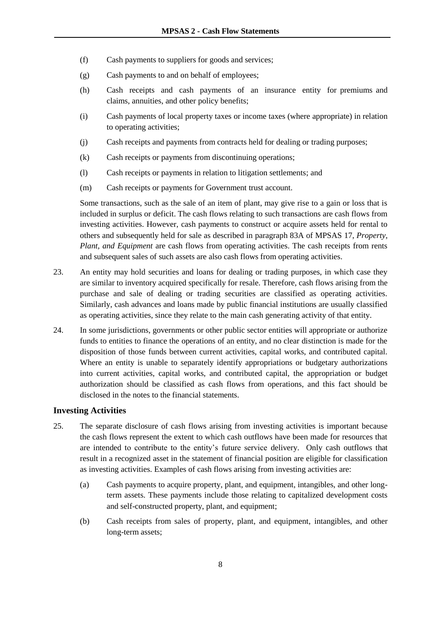- (f) Cash payments to suppliers for goods and services;
- (g) Cash payments to and on behalf of employees;
- (h) Cash receipts and cash payments of an insurance entity for premiums and claims, annuities, and other policy benefits;
- (i) Cash payments of local property taxes or income taxes (where appropriate) in relation to operating activities;
- (j) Cash receipts and payments from contracts held for dealing or trading purposes;
- (k) Cash receipts or payments from discontinuing operations;
- (l) Cash receipts or payments in relation to litigation settlements; and
- (m) Cash receipts or payments for Government trust account.

Some transactions, such as the sale of an item of plant, may give rise to a gain or loss that is included in surplus or deficit. The cash flows relating to such transactions are cash flows from investing activities. However, cash payments to construct or acquire assets held for rental to others and subsequently held for sale as described in paragraph 83A of MPSAS 17, *Property, Plant, and Equipment* are cash flows from operating activities. The cash receipts from rents and subsequent sales of such assets are also cash flows from operating activities.

- 23. An entity may hold securities and loans for dealing or trading purposes, in which case they are similar to inventory acquired specifically for resale. Therefore, cash flows arising from the purchase and sale of dealing or trading securities are classified as operating activities. Similarly, cash advances and loans made by public financial institutions are usually classified as operating activities, since they relate to the main cash generating activity of that entity.
- 24. In some jurisdictions, governments or other public sector entities will appropriate or authorize funds to entities to finance the operations of an entity, and no clear distinction is made for the disposition of those funds between current activities, capital works, and contributed capital. Where an entity is unable to separately identify appropriations or budgetary authorizations into current activities, capital works, and contributed capital, the appropriation or budget authorization should be classified as cash flows from operations, and this fact should be disclosed in the notes to the financial statements.

#### **Investing Activities**

- 25. The separate disclosure of cash flows arising from investing activities is important because the cash flows represent the extent to which cash outflows have been made for resources that are intended to contribute to the entity's future service delivery. Only cash outflows that result in a recognized asset in the statement of financial position are eligible for classification as investing activities. Examples of cash flows arising from investing activities are:
	- (a) Cash payments to acquire property, plant, and equipment, intangibles, and other longterm assets. These payments include those relating to capitalized development costs and self-constructed property, plant, and equipment;
	- (b) Cash receipts from sales of property, plant, and equipment, intangibles, and other long-term assets;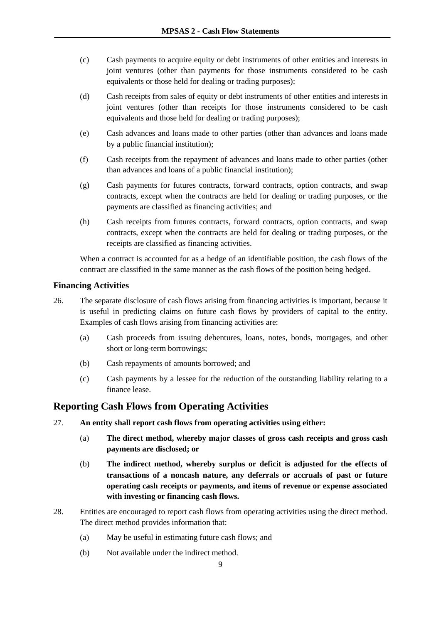- (c) Cash payments to acquire equity or debt instruments of other entities and interests in joint ventures (other than payments for those instruments considered to be cash equivalents or those held for dealing or trading purposes):
- (d) Cash receipts from sales of equity or debt instruments of other entities and interests in joint ventures (other than receipts for those instruments considered to be cash equivalents and those held for dealing or trading purposes);
- (e) Cash advances and loans made to other parties (other than advances and loans made by a public financial institution);
- (f) Cash receipts from the repayment of advances and loans made to other parties (other than advances and loans of a public financial institution);
- (g) Cash payments for futures contracts, forward contracts, option contracts, and swap contracts, except when the contracts are held for dealing or trading purposes, or the payments are classified as financing activities; and
- (h) Cash receipts from futures contracts, forward contracts, option contracts, and swap contracts, except when the contracts are held for dealing or trading purposes, or the receipts are classified as financing activities.

When a contract is accounted for as a hedge of an identifiable position, the cash flows of the contract are classified in the same manner as the cash flows of the position being hedged.

## **Financing Activities**

- 26. The separate disclosure of cash flows arising from financing activities is important, because it is useful in predicting claims on future cash flows by providers of capital to the entity. Examples of cash flows arising from financing activities are:
	- (a) Cash proceeds from issuing debentures, loans, notes, bonds, mortgages, and other short or long-term borrowings;
	- (b) Cash repayments of amounts borrowed; and
	- (c) Cash payments by a lessee for the reduction of the outstanding liability relating to a finance lease.

## **Reporting Cash Flows from Operating Activities**

- 27. **An entity shall report cash flows from operating activities using either:**
	- (a) **The direct method, whereby major classes of gross cash receipts and gross cash payments are disclosed; or**
	- (b) **The indirect method, whereby surplus or deficit is adjusted for the effects of transactions of a noncash nature, any deferrals or accruals of past or future operating cash receipts or payments, and items of revenue or expense associated with investing or financing cash flows.**
- 28. Entities are encouraged to report cash flows from operating activities using the direct method. The direct method provides information that:
	- (a) May be useful in estimating future cash flows; and
	- (b) Not available under the indirect method.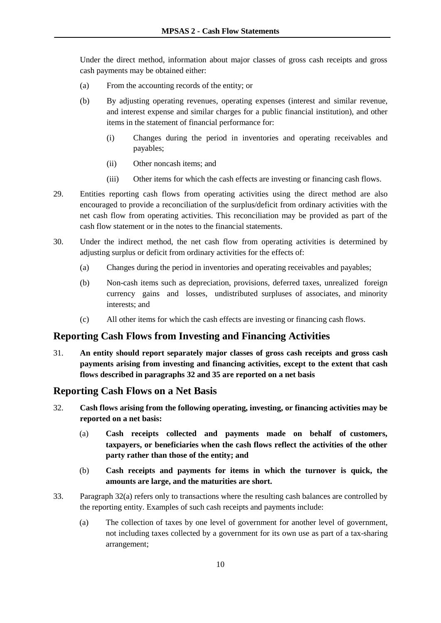Under the direct method, information about major classes of gross cash receipts and gross cash payments may be obtained either:

- (a) From the accounting records of the entity; or
- (b) By adjusting operating revenues, operating expenses (interest and similar revenue, and interest expense and similar charges for a public financial institution), and other items in the statement of financial performance for:
	- (i) Changes during the period in inventories and operating receivables and payables;
	- (ii) Other noncash items; and
	- (iii) Other items for which the cash effects are investing or financing cash flows.
- 29. Entities reporting cash flows from operating activities using the direct method are also encouraged to provide a reconciliation of the surplus/deficit from ordinary activities with the net cash flow from operating activities. This reconciliation may be provided as part of the cash flow statement or in the notes to the financial statements.
- 30. Under the indirect method, the net cash flow from operating activities is determined by adjusting surplus or deficit from ordinary activities for the effects of:
	- (a) Changes during the period in inventories and operating receivables and payables;
	- (b) Non-cash items such as depreciation, provisions, deferred taxes, unrealized foreign currency gains and losses, undistributed surpluses of associates, and minority interests; and
	- (c) All other items for which the cash effects are investing or financing cash flows.

## **Reporting Cash Flows from Investing and Financing Activities**

31. **An entity should report separately major classes of gross cash receipts and gross cash payments arising from investing and financing activities, except to the extent that cash flows described in paragraphs 32 and 35 are reported on a net basis**

## **Reporting Cash Flows on a Net Basis**

- 32. **Cash flows arising from the following operating, investing, or financing activities may be reported on a net basis:**
	- (a) **Cash receipts collected and payments made on behalf of customers, taxpayers, or beneficiaries when the cash flows reflect the activities of the other party rather than those of the entity; and**
	- (b) **Cash receipts and payments for items in which the turnover is quick, the amounts are large, and the maturities are short.**
- 33. Paragraph 32(a) refers only to transactions where the resulting cash balances are controlled by the reporting entity. Examples of such cash receipts and payments include:
	- (a) The collection of taxes by one level of government for another level of government, not including taxes collected by a government for its own use as part of a tax-sharing arrangement;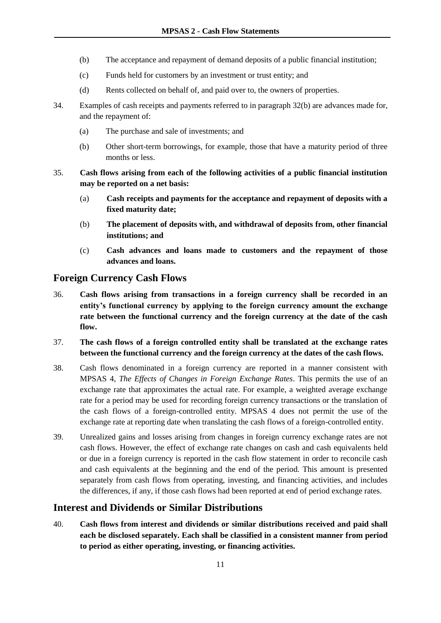- (b) The acceptance and repayment of demand deposits of a public financial institution;
- (c) Funds held for customers by an investment or trust entity; and
- (d) Rents collected on behalf of, and paid over to, the owners of properties.
- 34. Examples of cash receipts and payments referred to in paragraph 32(b) are advances made for, and the repayment of:
	- (a) The purchase and sale of investments; and
	- (b) Other short-term borrowings, for example, those that have a maturity period of three months or less.
- 35. **Cash flows arising from each of the following activities of a public financial institution may be reported on a net basis:**
	- (a) **Cash receipts and payments for the acceptance and repayment of deposits with a fixed maturity date;**
	- (b) **The placement of deposits with, and withdrawal of deposits from, other financial institutions; and**
	- (c) **Cash advances and loans made to customers and the repayment of those advances and loans.**

## **Foreign Currency Cash Flows**

- 36. **Cash flows arising from transactions in a foreign currency shall be recorded in an entity's functional currency by applying to the foreign currency amount the exchange rate between the functional currency and the foreign currency at the date of the cash flow.**
- 37. **The cash flows of a foreign controlled entity shall be translated at the exchange rates between the functional currency and the foreign currency at the dates of the cash flows.**
- 38. Cash flows denominated in a foreign currency are reported in a manner consistent with MPSAS 4, *The Effects of Changes in Foreign Exchange Rates*. This permits the use of an exchange rate that approximates the actual rate. For example, a weighted average exchange rate for a period may be used for recording foreign currency transactions or the translation of the cash flows of a foreign-controlled entity. MPSAS 4 does not permit the use of the exchange rate at reporting date when translating the cash flows of a foreign-controlled entity.
- 39. Unrealized gains and losses arising from changes in foreign currency exchange rates are not cash flows. However, the effect of exchange rate changes on cash and cash equivalents held or due in a foreign currency is reported in the cash flow statement in order to reconcile cash and cash equivalents at the beginning and the end of the period. This amount is presented separately from cash flows from operating, investing, and financing activities, and includes the differences, if any, if those cash flows had been reported at end of period exchange rates.

## **Interest and Dividends or Similar Distributions**

40. **Cash flows from interest and dividends or similar distributions received and paid shall each be disclosed separately. Each shall be classified in a consistent manner from period to period as either operating, investing, or financing activities.**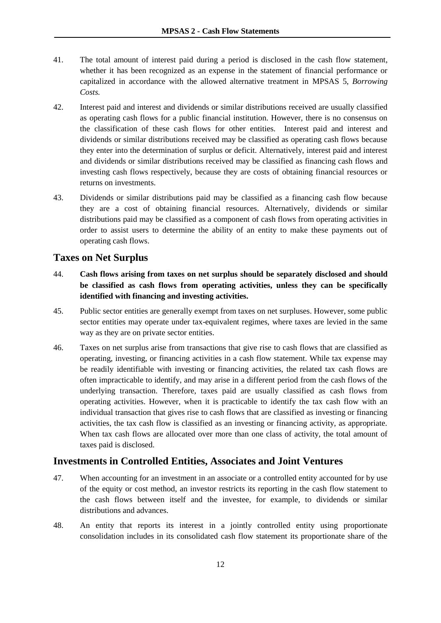- 41. The total amount of interest paid during a period is disclosed in the cash flow statement, whether it has been recognized as an expense in the statement of financial performance or capitalized in accordance with the allowed alternative treatment in MPSAS 5, *Borrowing Costs.*
- 42. Interest paid and interest and dividends or similar distributions received are usually classified as operating cash flows for a public financial institution. However, there is no consensus on the classification of these cash flows for other entities. Interest paid and interest and dividends or similar distributions received may be classified as operating cash flows because they enter into the determination of surplus or deficit. Alternatively, interest paid and interest and dividends or similar distributions received may be classified as financing cash flows and investing cash flows respectively, because they are costs of obtaining financial resources or returns on investments.
- 43. Dividends or similar distributions paid may be classified as a financing cash flow because they are a cost of obtaining financial resources. Alternatively, dividends or similar distributions paid may be classified as a component of cash flows from operating activities in order to assist users to determine the ability of an entity to make these payments out of operating cash flows.

# **Taxes on Net Surplus**

- 44. **Cash flows arising from taxes on net surplus should be separately disclosed and should be classified as cash flows from operating activities, unless they can be specifically identified with financing and investing activities.**
- 45. Public sector entities are generally exempt from taxes on net surpluses. However, some public sector entities may operate under tax-equivalent regimes, where taxes are levied in the same way as they are on private sector entities.
- 46. Taxes on net surplus arise from transactions that give rise to cash flows that are classified as operating, investing, or financing activities in a cash flow statement. While tax expense may be readily identifiable with investing or financing activities, the related tax cash flows are often impracticable to identify, and may arise in a different period from the cash flows of the underlying transaction. Therefore, taxes paid are usually classified as cash flows from operating activities. However, when it is practicable to identify the tax cash flow with an individual transaction that gives rise to cash flows that are classified as investing or financing activities, the tax cash flow is classified as an investing or financing activity, as appropriate. When tax cash flows are allocated over more than one class of activity, the total amount of taxes paid is disclosed.

# **Investments in Controlled Entities, Associates and Joint Ventures**

- 47. When accounting for an investment in an associate or a controlled entity accounted for by use of the equity or cost method, an investor restricts its reporting in the cash flow statement to the cash flows between itself and the investee, for example, to dividends or similar distributions and advances.
- 48. An entity that reports its interest in a jointly controlled entity using proportionate consolidation includes in its consolidated cash flow statement its proportionate share of the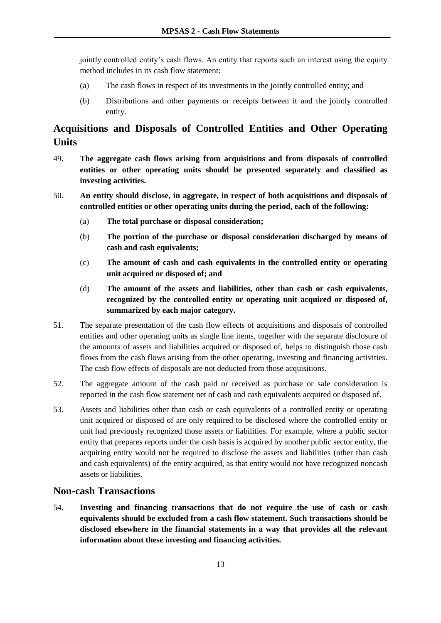jointly controlled entity's cash flows. An entity that reports such an interest using the equity method includes in its cash flow statement:

- (a) The cash flows in respect of its investments in the jointly controlled entity; and
- (b) Distributions and other payments or receipts between it and the jointly controlled entity.

# **Acquisitions and Disposals of Controlled Entities and Other Operating Units**

- 49. **The aggregate cash flows arising from acquisitions and from disposals of controlled entities or other operating units should be presented separately and classified as investing activities.**
- 50. **An entity should disclose, in aggregate, in respect of both acquisitions and disposals of controlled entities or other operating units during the period, each of the following:**
	- (a) **The total purchase or disposal consideration;**
	- (b) **The portion of the purchase or disposal consideration discharged by means of cash and cash equivalents;**
	- (c) **The amount of cash and cash equivalents in the controlled entity or operating unit acquired or disposed of; and**
	- (d) **The amount of the assets and liabilities, other than cash or cash equivalents, recognized by the controlled entity or operating unit acquired or disposed of, summarized by each major category.**
- 51. The separate presentation of the cash flow effects of acquisitions and disposals of controlled entities and other operating units as single line items, together with the separate disclosure of the amounts of assets and liabilities acquired or disposed of, helps to distinguish those cash flows from the cash flows arising from the other operating, investing and financing activities. The cash flow effects of disposals are not deducted from those acquisitions.
- 52. The aggregate amount of the cash paid or received as purchase or sale consideration is reported in the cash flow statement net of cash and cash equivalents acquired or disposed of.
- 53. Assets and liabilities other than cash or cash equivalents of a controlled entity or operating unit acquired or disposed of are only required to be disclosed where the controlled entity or unit had previously recognized those assets or liabilities. For example, where a public sector entity that prepares reports under the cash basis is acquired by another public sector entity, the acquiring entity would not be required to disclose the assets and liabilities (other than cash and cash equivalents) of the entity acquired, as that entity would not have recognized noncash assets or liabilities.

## **Non-cash Transactions**

54. **Investing and financing transactions that do not require the use of cash or cash equivalents should be excluded from a cash flow statement. Such transactions should be disclosed elsewhere in the financial statements in a way that provides all the relevant information about these investing and financing activities.**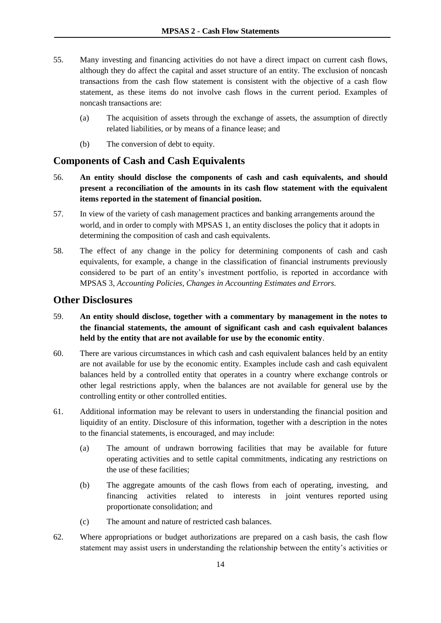- 55. Many investing and financing activities do not have a direct impact on current cash flows, although they do affect the capital and asset structure of an entity. The exclusion of noncash transactions from the cash flow statement is consistent with the objective of a cash flow statement, as these items do not involve cash flows in the current period. Examples of noncash transactions are:
	- (a) The acquisition of assets through the exchange of assets, the assumption of directly related liabilities, or by means of a finance lease; and
	- (b) The conversion of debt to equity.

# **Components of Cash and Cash Equivalents**

- 56. **An entity should disclose the components of cash and cash equivalents, and should present a reconciliation of the amounts in its cash flow statement with the equivalent items reported in the statement of financial position.**
- 57. In view of the variety of cash management practices and banking arrangements around the world, and in order to comply with MPSAS 1, an entity discloses the policy that it adopts in determining the composition of cash and cash equivalents.
- 58. The effect of any change in the policy for determining components of cash and cash equivalents, for example, a change in the classification of financial instruments previously considered to be part of an entity's investment portfolio, is reported in accordance with MPSAS 3, *Accounting Policies, Changes in Accounting Estimates and Errors.*

## **Other Disclosures**

- 59. **An entity should disclose, together with a commentary by management in the notes to the financial statements, the amount of significant cash and cash equivalent balances held by the entity that are not available for use by the economic entity**.
- 60. There are various circumstances in which cash and cash equivalent balances held by an entity are not available for use by the economic entity. Examples include cash and cash equivalent balances held by a controlled entity that operates in a country where exchange controls or other legal restrictions apply, when the balances are not available for general use by the controlling entity or other controlled entities.
- 61. Additional information may be relevant to users in understanding the financial position and liquidity of an entity. Disclosure of this information, together with a description in the notes to the financial statements, is encouraged, and may include:
	- (a) The amount of undrawn borrowing facilities that may be available for future operating activities and to settle capital commitments, indicating any restrictions on the use of these facilities;
	- (b) The aggregate amounts of the cash flows from each of operating, investing, and financing activities related to interests in joint ventures reported using proportionate consolidation; and
	- (c) The amount and nature of restricted cash balances.
- 62. Where appropriations or budget authorizations are prepared on a cash basis, the cash flow statement may assist users in understanding the relationship between the entity's activities or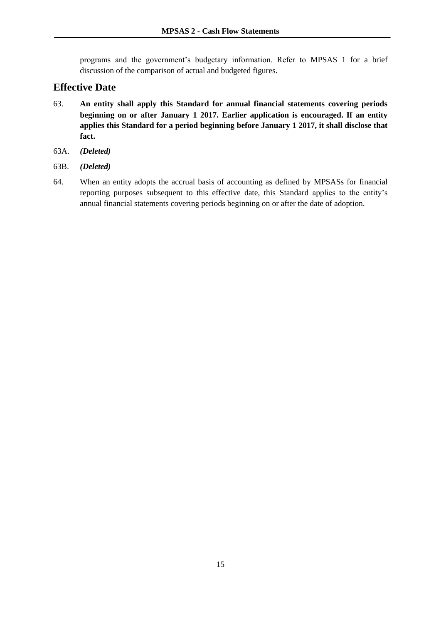programs and the government's budgetary information. Refer to MPSAS 1 for a brief discussion of the comparison of actual and budgeted figures.

# **Effective Date**

- 63. **An entity shall apply this Standard for annual financial statements covering periods beginning on or after January 1 2017. Earlier application is encouraged. If an entity applies this Standard for a period beginning before January 1 2017, it shall disclose that fact.**
- 63A. *(Deleted)*
- 63B. *(Deleted)*
- 64. When an entity adopts the accrual basis of accounting as defined by MPSASs for financial reporting purposes subsequent to this effective date, this Standard applies to the entity's annual financial statements covering periods beginning on or after the date of adoption.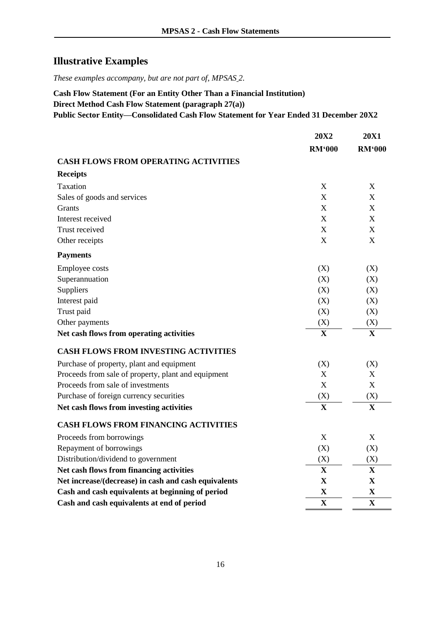# **Illustrative Examples**

*These examples accompany, but are not part of, MPSAS 2.* 

**Cash Flow Statement (For an Entity Other Than a Financial Institution) Direct Method Cash Flow Statement (paragraph 27(a))** 

**Public Sector Entity—Consolidated Cash Flow Statement for Year Ended 31 December 20X2** 

|                                                      | <b>20X2</b>               | <b>20X1</b>               |
|------------------------------------------------------|---------------------------|---------------------------|
|                                                      | <b>RM'000</b>             | <b>RM'000</b>             |
| <b>CASH FLOWS FROM OPERATING ACTIVITIES</b>          |                           |                           |
| <b>Receipts</b>                                      |                           |                           |
| Taxation                                             | $\boldsymbol{\mathrm{X}}$ | X                         |
| Sales of goods and services                          | $\boldsymbol{\mathrm{X}}$ | $\mathbf X$               |
| Grants                                               | X                         | X                         |
| Interest received                                    | X                         | X                         |
| Trust received                                       | X                         | X                         |
| Other receipts                                       | X                         | X                         |
| <b>Payments</b>                                      |                           |                           |
| Employee costs                                       | (X)                       | (X)                       |
| Superannuation                                       | (X)                       | (X)                       |
| Suppliers                                            | (X)                       | (X)                       |
| Interest paid                                        | (X)                       | (X)                       |
| Trust paid                                           | (X)                       | (X)                       |
| Other payments                                       | (X)                       | (X)                       |
| Net cash flows from operating activities             | $\overline{\mathbf{X}}$   | $\overline{\mathbf{X}}$   |
| <b>CASH FLOWS FROM INVESTING ACTIVITIES</b>          |                           |                           |
| Purchase of property, plant and equipment            | (X)                       | (X)                       |
| Proceeds from sale of property, plant and equipment  | X                         | X                         |
| Proceeds from sale of investments                    | $\boldsymbol{\mathrm{X}}$ | $\boldsymbol{\mathrm{X}}$ |
| Purchase of foreign currency securities              | (X)                       | (X)                       |
| Net cash flows from investing activities             | $\overline{\mathbf{X}}$   | $\mathbf{X}$              |
| <b>CASH FLOWS FROM FINANCING ACTIVITIES</b>          |                           |                           |
| Proceeds from borrowings                             | $\boldsymbol{\mathrm{X}}$ | X                         |
| Repayment of borrowings                              | (X)                       | (X)                       |
| Distribution/dividend to government                  | (X)                       | (X)                       |
| Net cash flows from financing activities             | $\overline{\mathbf{X}}$   | $\mathbf X$               |
| Net increase/(decrease) in cash and cash equivalents | $\mathbf X$               | $\mathbf X$               |
| Cash and cash equivalents at beginning of period     | $\mathbf X$               | $\mathbf X$               |
| Cash and cash equivalents at end of period           | $\mathbf X$               | $\mathbf X$               |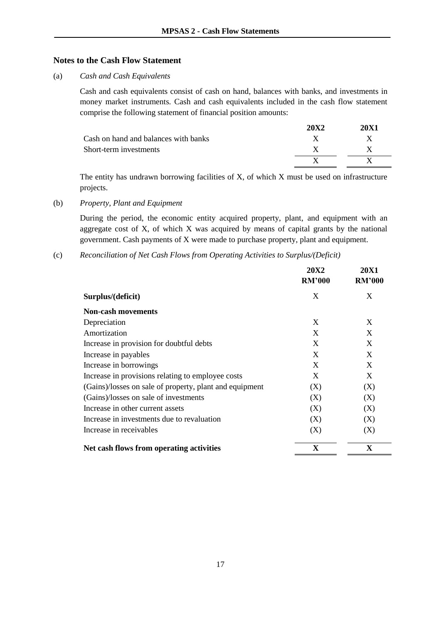## **Notes to the Cash Flow Statement**

(a) *Cash and Cash Equivalents*

Cash and cash equivalents consist of cash on hand, balances with banks, and investments in money market instruments. Cash and cash equivalents included in the cash flow statement comprise the following statement of financial position amounts:

|                                      | 20X 2 | 20X1 |
|--------------------------------------|-------|------|
| Cash on hand and balances with banks |       | X    |
| Short-term investments               |       | X    |
|                                      |       |      |

The entity has undrawn borrowing facilities of X, of which X must be used on infrastructure projects.

(b) *Property, Plant and Equipment*

During the period, the economic entity acquired property, plant, and equipment with an aggregate cost of X, of which X was acquired by means of capital grants by the national government. Cash payments of X were made to purchase property, plant and equipment.

(c) *Reconciliation of Net Cash Flows from Operating Activities to Surplus/(Deficit)*

|                                                         | <b>20X2</b><br><b>RM'000</b> | <b>20X1</b><br><b>RM'000</b> |
|---------------------------------------------------------|------------------------------|------------------------------|
| Surplus/(deficit)                                       | X                            | X                            |
| <b>Non-cash movements</b>                               |                              |                              |
| Depreciation                                            | X                            | X                            |
| Amortization                                            | X                            | X                            |
| Increase in provision for doubtful debts                | X                            | X                            |
| Increase in payables                                    | X                            | X                            |
| Increase in borrowings                                  | X                            | X                            |
| Increase in provisions relating to employee costs       | X                            | X                            |
| (Gains)/losses on sale of property, plant and equipment | (X)                          | (X)                          |
| (Gains)/losses on sale of investments                   | (X)                          | (X)                          |
| Increase in other current assets                        | (X)                          | (X)                          |
| Increase in investments due to revaluation              | (X)                          | (X)                          |
| Increase in receivables                                 | (X)                          | (X)                          |
| Net cash flows from operating activities                | X                            | X                            |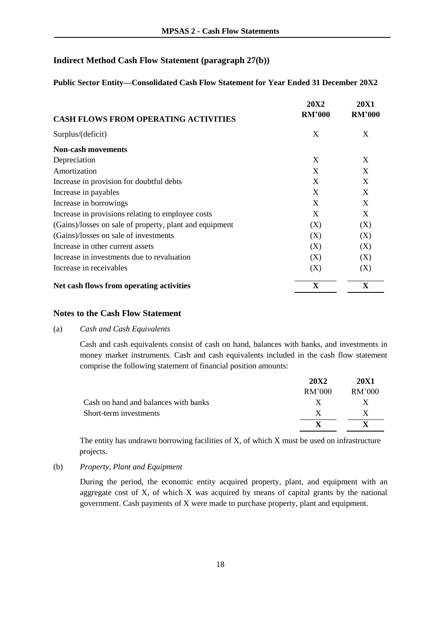## **Indirect Method Cash Flow Statement (paragraph 27(b))**

### **Public Sector Entity—Consolidated Cash Flow Statement for Year Ended 31 December 20X2**

| <b>CASH FLOWS FROM OPERATING ACTIVITIES</b>             | <b>20X2</b><br><b>RM'000</b> | 20X1<br><b>RM'000</b> |
|---------------------------------------------------------|------------------------------|-----------------------|
| Surplus/(deficit)                                       | X                            | X                     |
| <b>Non-cash movements</b>                               |                              |                       |
| Depreciation                                            | X                            | X                     |
| Amortization                                            | X                            | X                     |
| Increase in provision for doubtful debts                | X                            | X                     |
| Increase in payables                                    | X                            | X                     |
| Increase in borrowings                                  | X                            | X                     |
| Increase in provisions relating to employee costs       | X                            | X                     |
| (Gains)/losses on sale of property, plant and equipment | (X)                          | (X)                   |
| (Gains)/losses on sale of investments                   | (X)                          | (X)                   |
| Increase in other current assets                        | (X)                          | (X)                   |
| Increase in investments due to revaluation              | (X)                          | (X)                   |
| Increase in receivables                                 | (X)                          | (X)                   |
| Net cash flows from operating activities                | X                            | $\mathbf X$           |

#### **Notes to the Cash Flow Statement**

## (a) *Cash and Cash Equivalents*

Cash and cash equivalents consist of cash on hand, balances with banks, and investments in money market instruments. Cash and cash equivalents included in the cash flow statement comprise the following statement of financial position amounts:

|                                      | <b>20X2</b> | <b>20X1</b> |
|--------------------------------------|-------------|-------------|
|                                      | RM'000      | RM'000      |
| Cash on hand and balances with banks | X           | X           |
| Short-term investments               | X           |             |
|                                      |             |             |

The entity has undrawn borrowing facilities of X, of which X must be used on infrastructure projects.

(b) *Property, Plant and Equipment*

During the period, the economic entity acquired property, plant, and equipment with an aggregate cost of X, of which X was acquired by means of capital grants by the national government. Cash payments of X were made to purchase property, plant and equipment.